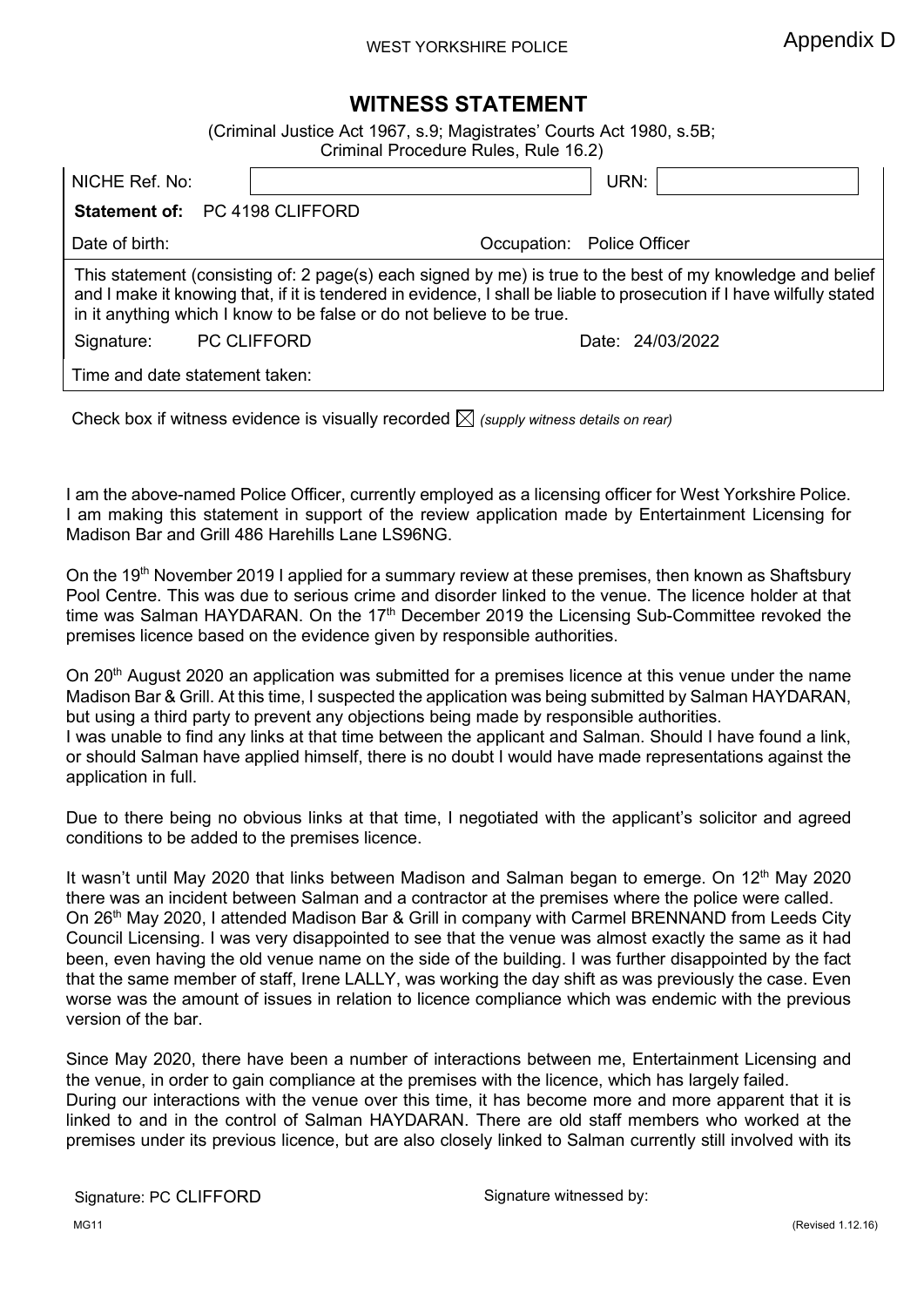## **WITNESS STATEMENT**

<span id="page-0-0"></span>(Criminal Justice Act 1967, s.9; Magistrates' Courts Act 1980, s.5B;

|                                | Criminal Procedure Rules, Rule 16.2)                                                                                                                                                                                                                                                                         |                            |
|--------------------------------|--------------------------------------------------------------------------------------------------------------------------------------------------------------------------------------------------------------------------------------------------------------------------------------------------------------|----------------------------|
| NICHE Ref. No:                 |                                                                                                                                                                                                                                                                                                              | URN:                       |
| Statement of: PC 4198 CLIFFORD |                                                                                                                                                                                                                                                                                                              |                            |
| Date of birth:                 |                                                                                                                                                                                                                                                                                                              | Occupation: Police Officer |
|                                | This statement (consisting of: 2 page(s) each signed by me) is true to the best of my knowledge and belief<br>and I make it knowing that, if it is tendered in evidence, I shall be liable to prosecution if I have wilfully stated<br>in it anything which I know to be false or do not believe to be true. |                            |
| Signature:                     | <b>PC CLIFFORD</b>                                                                                                                                                                                                                                                                                           | Date: 24/03/2022           |
| Time and date statement taken: |                                                                                                                                                                                                                                                                                                              |                            |

Check box if witness evidence is visually recorded  $\boxtimes$  *(supply witness details on rear)* 

I am the above-named Police Officer, currently employed as a licensing officer for West Yorkshire Police. I am making this statement in support of the review application made by Entertainment Licensing for Madison Bar and Grill 486 Harehills Lane LS96NG.

On the 19th November 2019 I applied for a summary review at these premises, then known as Shaftsbury Pool Centre. This was due to serious crime and disorder linked to the venue. The licence holder at that time was Salman HAYDARAN. On the 17<sup>th</sup> December 2019 the Licensing Sub-Committee revoked the premises licence based on the evidence given by responsible authorities.

On 20<sup>th</sup> August 2020 an application was submitted for a premises licence at this venue under the name Madison Bar & Grill. At this time, I suspected the application was being submitted by Salman HAYDARAN, but using a third party to prevent any objections being made by responsible authorities. I was unable to find any links at that time between the applicant and Salman. Should I have found a link, or should Salman have applied himself, there is no doubt I would have made representations against the application in full.

Due to there being no obvious links at that time, I negotiated with the applicant's solicitor and agreed conditions to be added to the premises licence.

It wasn't until May 2020 that links between Madison and Salman began to emerge. On 12<sup>th</sup> May 2020 there was an incident between Salman and a contractor at the premises where the police were called. On 26th May 2020, I attended Madison Bar & Grill in company with Carmel BRENNAND from Leeds City Council Licensing. I was very disappointed to see that the venue was almost exactly the same as it had been, even having the old venue name on the side of the building. I was further disappointed by the fact that the same member of staff, Irene LALLY, was working the day shift as was previously the case. Even worse was the amount of issues in relation to licence compliance which was endemic with the previous version of the bar.

Since May 2020, there have been a number of interactions between me, Entertainment Licensing and the venue, in order to gain compliance at the premises with the licence, which has largely failed. During our interactions with the venue over this time, it has become more and more apparent that it is linked to and in the control of Salman HAYDARAN. There are old staff members who worked at the premises under its previous licence, but are also closely linked to Salman currently still involved with its